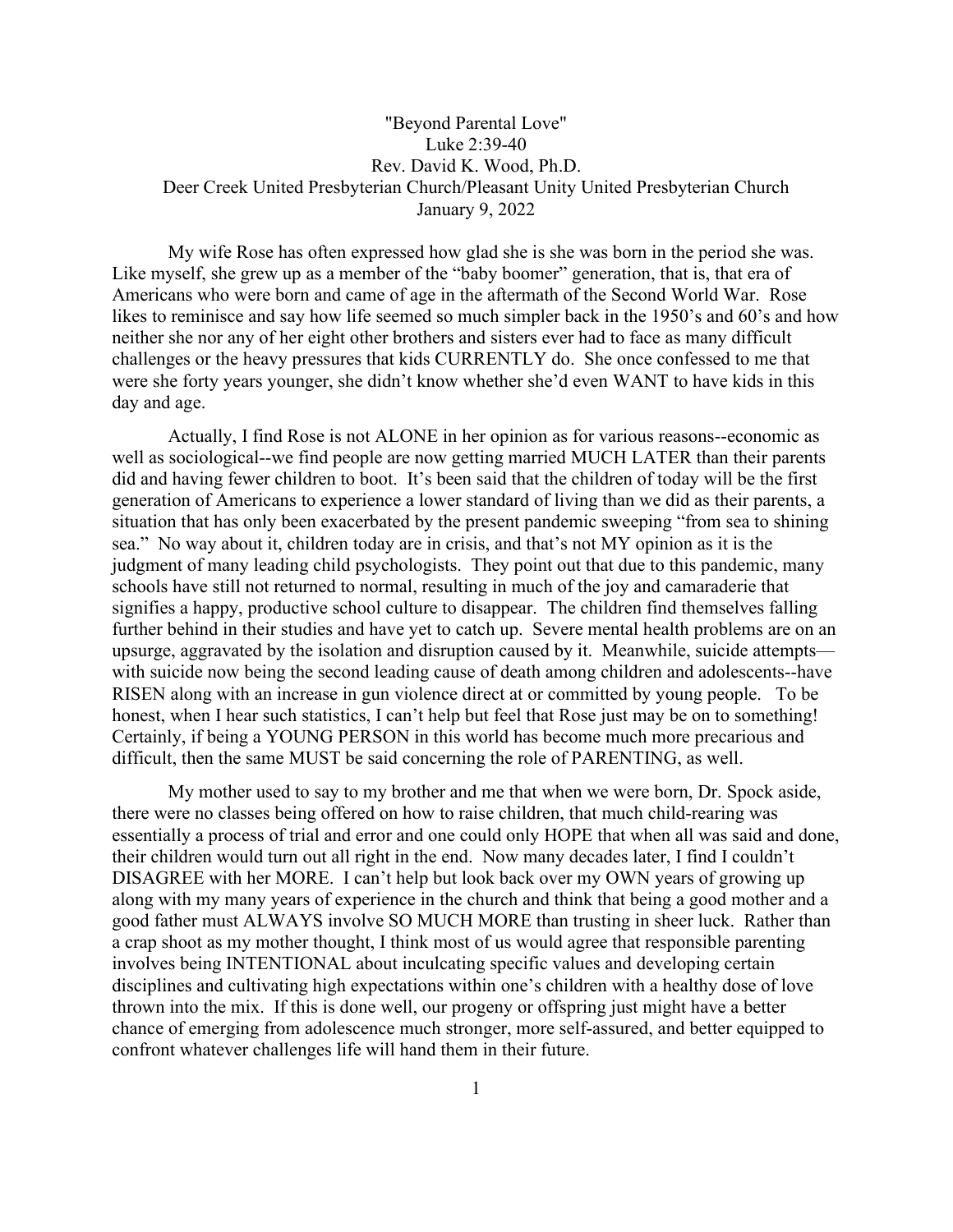## "Beyond Parental Love" Luke 2:39-40 Rev. David K. Wood, Ph.D. Deer Creek United Presbyterian Church/Pleasant Unity United Presbyterian Church January 9, 2022

My wife Rose has often expressed how glad she is she was born in the period she was. Like myself, she grew up as a member of the "baby boomer" generation, that is, that era of Americans who were born and came of age in the aftermath of the Second World War. Rose likes to reminisce and say how life seemed so much simpler back in the 1950's and 60's and how neither she nor any of her eight other brothers and sisters ever had to face as many difficult challenges or the heavy pressures that kids CURRENTLY do. She once confessed to me that were she forty years younger, she didn't know whether she'd even WANT to have kids in this day and age.

Actually, I find Rose is not ALONE in her opinion as for various reasons--economic as well as sociological--we find people are now getting married MUCH LATER than their parents did and having fewer children to boot. It's been said that the children of today will be the first generation of Americans to experience a lower standard of living than we did as their parents, a situation that has only been exacerbated by the present pandemic sweeping "from sea to shining sea." No way about it, children today are in crisis, and that's not MY opinion as it is the judgment of many leading child psychologists. They point out that due to this pandemic, many schools have still not returned to normal, resulting in much of the joy and camaraderie that signifies a happy, productive school culture to disappear. The children find themselves falling further behind in their studies and have yet to catch up. Severe mental health problems are on an upsurge, aggravated by the isolation and disruption caused by it. Meanwhile, suicide attempts with suicide now being the second leading cause of death among children and adolescents--have RISEN along with an increase in gun violence direct at or committed by young people. To be honest, when I hear such statistics, I can't help but feel that Rose just may be on to something! Certainly, if being a YOUNG PERSON in this world has become much more precarious and difficult, then the same MUST be said concerning the role of PARENTING, as well.

My mother used to say to my brother and me that when we were born, Dr. Spock aside, there were no classes being offered on how to raise children, that much child-rearing was essentially a process of trial and error and one could only HOPE that when all was said and done, their children would turn out all right in the end. Now many decades later, I find I couldn't DISAGREE with her MORE. I can't help but look back over my OWN years of growing up along with my many years of experience in the church and think that being a good mother and a good father must ALWAYS involve SO MUCH MORE than trusting in sheer luck. Rather than a crap shoot as my mother thought, I think most of us would agree that responsible parenting involves being INTENTIONAL about inculcating specific values and developing certain disciplines and cultivating high expectations within one's children with a healthy dose of love thrown into the mix. If this is done well, our progeny or offspring just might have a better chance of emerging from adolescence much stronger, more self-assured, and better equipped to confront whatever challenges life will hand them in their future.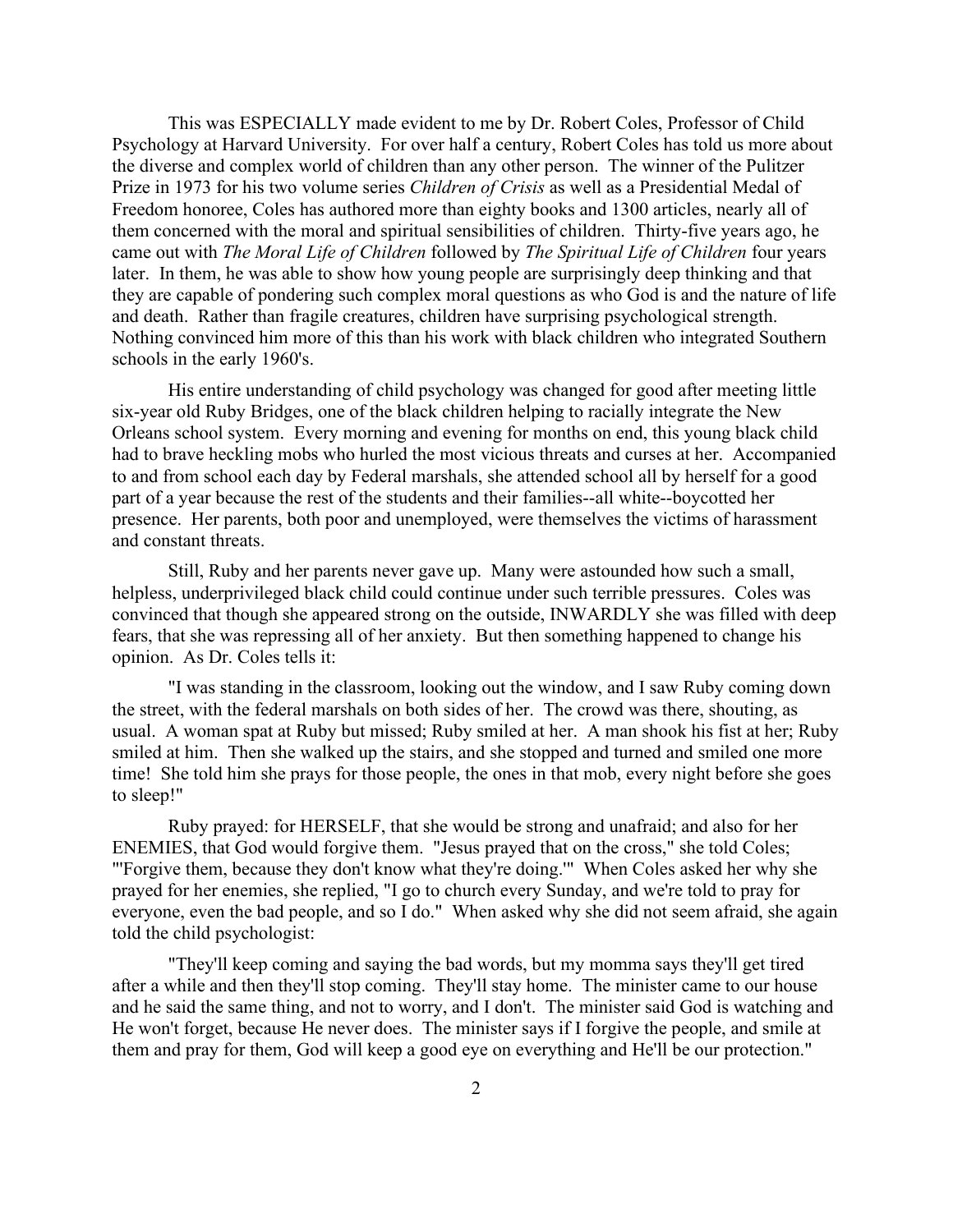This was ESPECIALLY made evident to me by Dr. Robert Coles, Professor of Child Psychology at Harvard University. For over half a century, Robert Coles has told us more about the diverse and complex world of children than any other person. The winner of the Pulitzer Prize in 1973 for his two volume series *Children of Crisis* as well as a Presidential Medal of Freedom honoree, Coles has authored more than eighty books and 1300 articles, nearly all of them concerned with the moral and spiritual sensibilities of children. Thirty-five years ago, he came out with *The Moral Life of Children* followed by *The Spiritual Life of Children* four years later. In them, he was able to show how young people are surprisingly deep thinking and that they are capable of pondering such complex moral questions as who God is and the nature of life and death. Rather than fragile creatures, children have surprising psychological strength. Nothing convinced him more of this than his work with black children who integrated Southern schools in the early 1960's.

His entire understanding of child psychology was changed for good after meeting little six-year old Ruby Bridges, one of the black children helping to racially integrate the New Orleans school system. Every morning and evening for months on end, this young black child had to brave heckling mobs who hurled the most vicious threats and curses at her. Accompanied to and from school each day by Federal marshals, she attended school all by herself for a good part of a year because the rest of the students and their families--all white--boycotted her presence. Her parents, both poor and unemployed, were themselves the victims of harassment and constant threats.

Still, Ruby and her parents never gave up. Many were astounded how such a small, helpless, underprivileged black child could continue under such terrible pressures. Coles was convinced that though she appeared strong on the outside, INWARDLY she was filled with deep fears, that she was repressing all of her anxiety. But then something happened to change his opinion. As Dr. Coles tells it:

"I was standing in the classroom, looking out the window, and I saw Ruby coming down the street, with the federal marshals on both sides of her. The crowd was there, shouting, as usual. A woman spat at Ruby but missed; Ruby smiled at her. A man shook his fist at her; Ruby smiled at him. Then she walked up the stairs, and she stopped and turned and smiled one more time! She told him she prays for those people, the ones in that mob, every night before she goes to sleep!"

Ruby prayed: for HERSELF, that she would be strong and unafraid; and also for her ENEMIES, that God would forgive them. "Jesus prayed that on the cross," she told Coles; "'Forgive them, because they don't know what they're doing." When Coles asked her why she prayed for her enemies, she replied, "I go to church every Sunday, and we're told to pray for everyone, even the bad people, and so I do." When asked why she did not seem afraid, she again told the child psychologist:

"They'll keep coming and saying the bad words, but my momma says they'll get tired after a while and then they'll stop coming. They'll stay home. The minister came to our house and he said the same thing, and not to worry, and I don't. The minister said God is watching and He won't forget, because He never does. The minister says if I forgive the people, and smile at them and pray for them, God will keep a good eye on everything and He'll be our protection."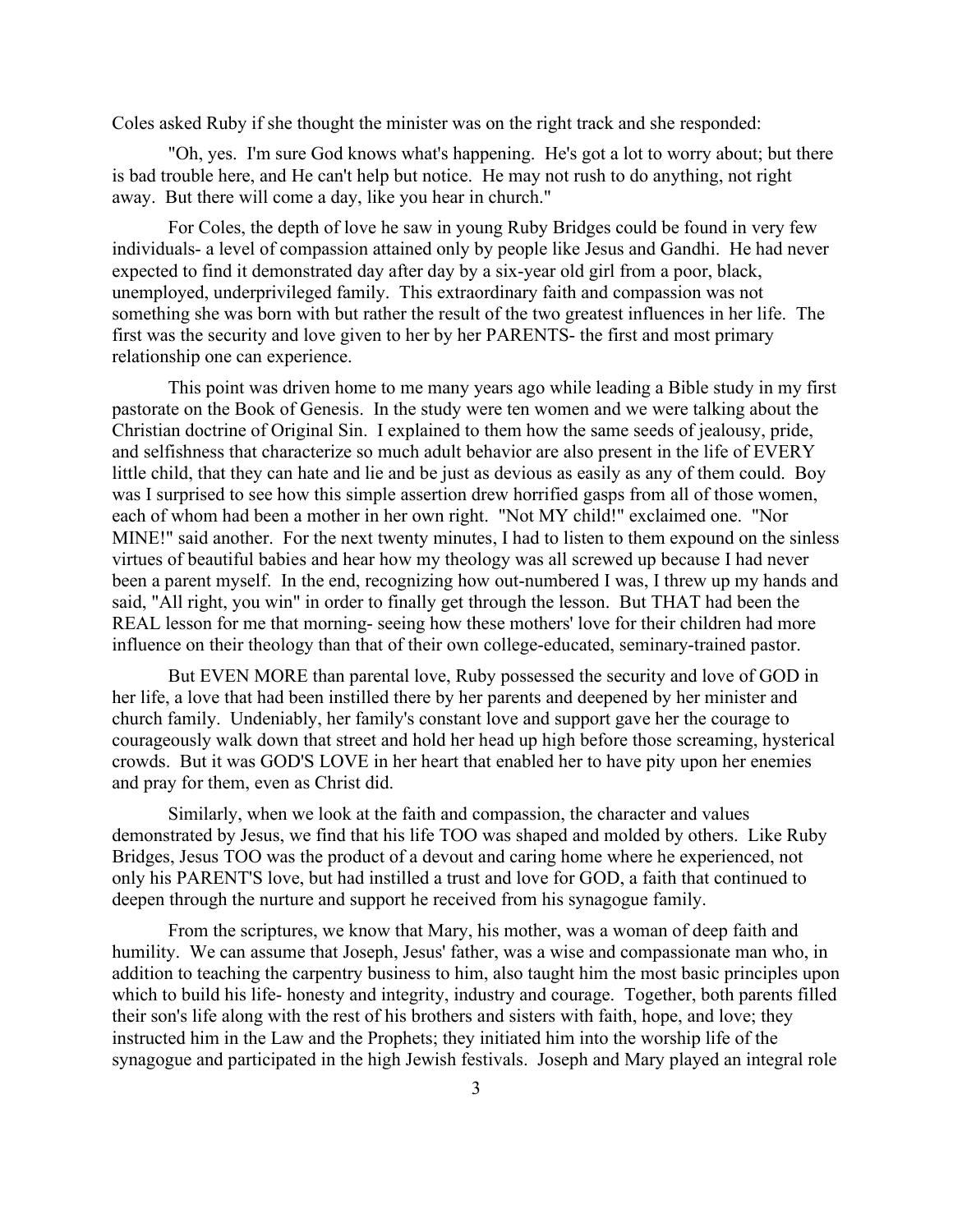Coles asked Ruby if she thought the minister was on the right track and she responded:

"Oh, yes. I'm sure God knows what's happening. He's got a lot to worry about; but there is bad trouble here, and He can't help but notice. He may not rush to do anything, not right away. But there will come a day, like you hear in church."

For Coles, the depth of love he saw in young Ruby Bridges could be found in very few individuals- a level of compassion attained only by people like Jesus and Gandhi. He had never expected to find it demonstrated day after day by a six-year old girl from a poor, black, unemployed, underprivileged family. This extraordinary faith and compassion was not something she was born with but rather the result of the two greatest influences in her life. The first was the security and love given to her by her PARENTS- the first and most primary relationship one can experience.

This point was driven home to me many years ago while leading a Bible study in my first pastorate on the Book of Genesis. In the study were ten women and we were talking about the Christian doctrine of Original Sin. I explained to them how the same seeds of jealousy, pride, and selfishness that characterize so much adult behavior are also present in the life of EVERY little child, that they can hate and lie and be just as devious as easily as any of them could. Boy was I surprised to see how this simple assertion drew horrified gasps from all of those women, each of whom had been a mother in her own right. "Not MY child!" exclaimed one. "Nor MINE!" said another. For the next twenty minutes, I had to listen to them expound on the sinless virtues of beautiful babies and hear how my theology was all screwed up because I had never been a parent myself. In the end, recognizing how out-numbered I was, I threw up my hands and said, "All right, you win" in order to finally get through the lesson. But THAT had been the REAL lesson for me that morning- seeing how these mothers' love for their children had more influence on their theology than that of their own college-educated, seminary-trained pastor.

But EVEN MORE than parental love, Ruby possessed the security and love of GOD in her life, a love that had been instilled there by her parents and deepened by her minister and church family. Undeniably, her family's constant love and support gave her the courage to courageously walk down that street and hold her head up high before those screaming, hysterical crowds. But it was GOD'S LOVE in her heart that enabled her to have pity upon her enemies and pray for them, even as Christ did.

Similarly, when we look at the faith and compassion, the character and values demonstrated by Jesus, we find that his life TOO was shaped and molded by others. Like Ruby Bridges, Jesus TOO was the product of a devout and caring home where he experienced, not only his PARENT'S love, but had instilled a trust and love for GOD, a faith that continued to deepen through the nurture and support he received from his synagogue family.

From the scriptures, we know that Mary, his mother, was a woman of deep faith and humility. We can assume that Joseph, Jesus' father, was a wise and compassionate man who, in addition to teaching the carpentry business to him, also taught him the most basic principles upon which to build his life- honesty and integrity, industry and courage. Together, both parents filled their son's life along with the rest of his brothers and sisters with faith, hope, and love; they instructed him in the Law and the Prophets; they initiated him into the worship life of the synagogue and participated in the high Jewish festivals. Joseph and Mary played an integral role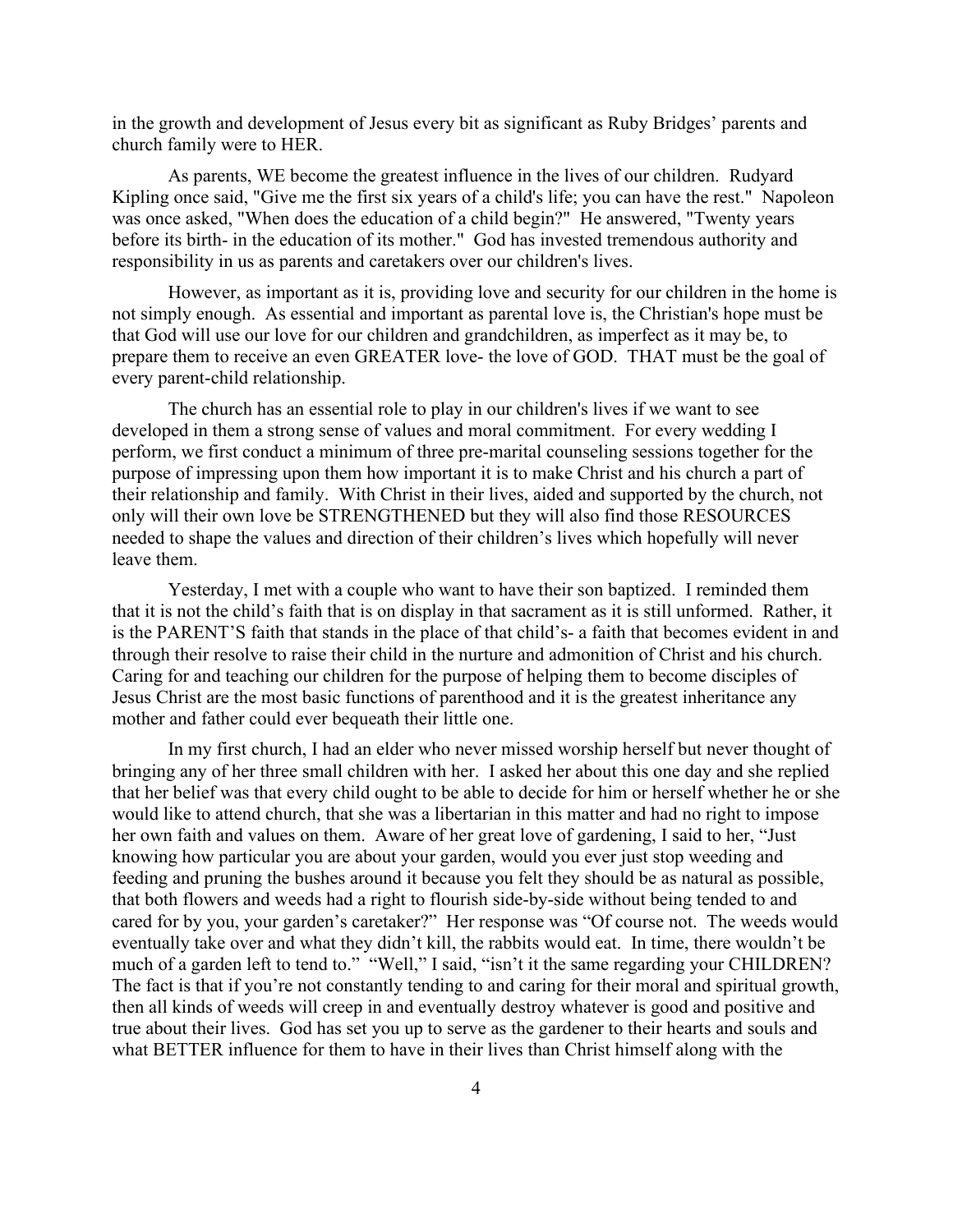in the growth and development of Jesus every bit as significant as Ruby Bridges' parents and church family were to HER.

As parents, WE become the greatest influence in the lives of our children. Rudyard Kipling once said, "Give me the first six years of a child's life; you can have the rest." Napoleon was once asked, "When does the education of a child begin?" He answered, "Twenty years before its birth- in the education of its mother." God has invested tremendous authority and responsibility in us as parents and caretakers over our children's lives.

However, as important as it is, providing love and security for our children in the home is not simply enough. As essential and important as parental love is, the Christian's hope must be that God will use our love for our children and grandchildren, as imperfect as it may be, to prepare them to receive an even GREATER love- the love of GOD. THAT must be the goal of every parent-child relationship.

The church has an essential role to play in our children's lives if we want to see developed in them a strong sense of values and moral commitment. For every wedding I perform, we first conduct a minimum of three pre-marital counseling sessions together for the purpose of impressing upon them how important it is to make Christ and his church a part of their relationship and family. With Christ in their lives, aided and supported by the church, not only will their own love be STRENGTHENED but they will also find those RESOURCES needed to shape the values and direction of their children's lives which hopefully will never leave them.

Yesterday, I met with a couple who want to have their son baptized. I reminded them that it is not the child's faith that is on display in that sacrament as it is still unformed. Rather, it is the PARENT'S faith that stands in the place of that child's- a faith that becomes evident in and through their resolve to raise their child in the nurture and admonition of Christ and his church. Caring for and teaching our children for the purpose of helping them to become disciples of Jesus Christ are the most basic functions of parenthood and it is the greatest inheritance any mother and father could ever bequeath their little one.

In my first church, I had an elder who never missed worship herself but never thought of bringing any of her three small children with her. I asked her about this one day and she replied that her belief was that every child ought to be able to decide for him or herself whether he or she would like to attend church, that she was a libertarian in this matter and had no right to impose her own faith and values on them. Aware of her great love of gardening, I said to her, "Just knowing how particular you are about your garden, would you ever just stop weeding and feeding and pruning the bushes around it because you felt they should be as natural as possible, that both flowers and weeds had a right to flourish side-by-side without being tended to and cared for by you, your garden's caretaker?" Her response was "Of course not. The weeds would eventually take over and what they didn't kill, the rabbits would eat. In time, there wouldn't be much of a garden left to tend to." "Well," I said, "isn't it the same regarding your CHILDREN? The fact is that if you're not constantly tending to and caring for their moral and spiritual growth, then all kinds of weeds will creep in and eventually destroy whatever is good and positive and true about their lives. God has set you up to serve as the gardener to their hearts and souls and what BETTER influence for them to have in their lives than Christ himself along with the